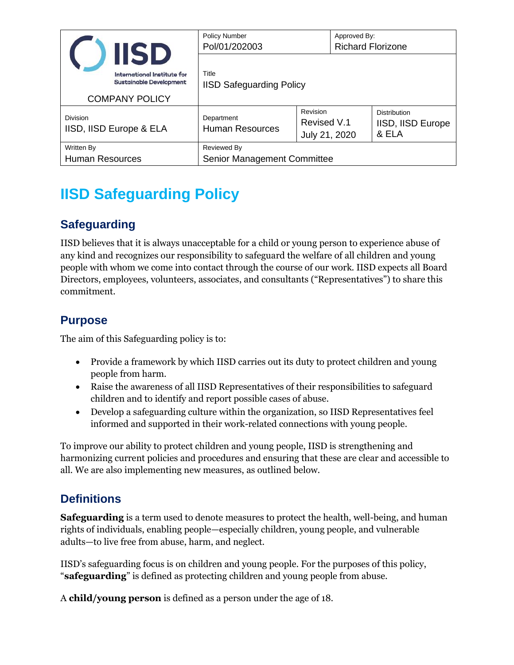|                                            | <b>IISD</b>                                                                            | <b>Policy Number</b><br>Pol/01/202003      |                                                                          | Approved By:<br><b>Richard Florizone</b> |                          |  |
|--------------------------------------------|----------------------------------------------------------------------------------------|--------------------------------------------|--------------------------------------------------------------------------|------------------------------------------|--------------------------|--|
|                                            | International Institute for<br><b>Sustainable Development</b><br><b>COMPANY POLICY</b> | Title<br><b>IISD Safeguarding Policy</b>   |                                                                          |                                          |                          |  |
| <b>Division</b><br>IISD, IISD Europe & ELA |                                                                                        | Department<br><b>Human Resources</b>       | Revision<br><b>Distribution</b><br>Revised V.1<br>& ELA<br>July 21, 2020 |                                          | <b>IISD, IISD Europe</b> |  |
| Written By<br><b>Human Resources</b>       |                                                                                        | Reviewed By<br>Senior Management Committee |                                                                          |                                          |                          |  |

# **IISD Safeguarding Policy**

# **Safeguarding**

IISD believes that it is always unacceptable for a child or young person to experience abuse of any kind and recognizes our responsibility to safeguard the welfare of all children and young people with whom we come into contact through the course of our work. IISD expects all Board Directors, employees, volunteers, associates, and consultants ("Representatives") to share this commitment.

## **Purpose**

The aim of this Safeguarding policy is to:

- Provide a framework by which IISD carries out its duty to protect children and young people from harm.
- Raise the awareness of all IISD Representatives of their responsibilities to safeguard children and to identify and report possible cases of abuse.
- Develop a safeguarding culture within the organization, so IISD Representatives feel informed and supported in their work-related connections with young people.

To improve our ability to protect children and young people, IISD is strengthening and harmonizing current policies and procedures and ensuring that these are clear and accessible to all. We are also implementing new measures, as outlined below.

# **Definitions**

**Safeguarding** is a term used to denote measures to protect the health, well-being, and human rights of individuals, enabling people—especially children, young people, and vulnerable adults—to live free from abuse, harm, and neglect.

IISD's safeguarding focus is on children and young people. For the purposes of this policy, "**safeguarding**" is defined as protecting children and young people from abuse.

A **child/young person** is defined as a person under the age of 18.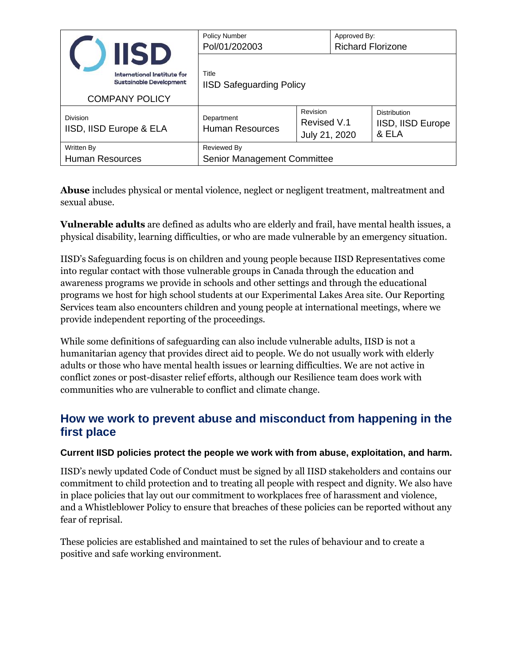|                                      | <b>IISD</b>                                                   | <b>Policy Number</b><br>Pol/01/202003      |                                                                          | Approved By:<br><b>Richard Florizone</b> |                   |  |  |
|--------------------------------------|---------------------------------------------------------------|--------------------------------------------|--------------------------------------------------------------------------|------------------------------------------|-------------------|--|--|
|                                      | International Institute for<br><b>Sustainable Development</b> | Title<br><b>IISD Safeguarding Policy</b>   |                                                                          |                                          |                   |  |  |
| <b>COMPANY POLICY</b>                |                                                               |                                            |                                                                          |                                          |                   |  |  |
| Division<br>IISD, IISD Europe & ELA  |                                                               | Department<br><b>Human Resources</b>       | Revision<br><b>Distribution</b><br>Revised V.1<br>& ELA<br>July 21, 2020 |                                          | IISD, IISD Europe |  |  |
| Written By<br><b>Human Resources</b> |                                                               | Reviewed By<br>Senior Management Committee |                                                                          |                                          |                   |  |  |

**Abuse** includes physical or mental violence, neglect or negligent treatment, maltreatment and sexual abuse.

**Vulnerable adults** are defined as adults who are elderly and frail, have mental health issues, a physical disability, learning difficulties, or who are made vulnerable by an emergency situation.

IISD's Safeguarding focus is on children and young people because IISD Representatives come into regular contact with those vulnerable groups in Canada through the education and awareness programs we provide in schools and other settings and through the educational programs we host for high school students at our Experimental Lakes Area site. Our Reporting Services team also encounters children and young people at international meetings, where we provide independent reporting of the proceedings.

While some definitions of safeguarding can also include vulnerable adults, IISD is not a humanitarian agency that provides direct aid to people. We do not usually work with elderly adults or those who have mental health issues or learning difficulties. We are not active in conflict zones or post-disaster relief efforts, although our Resilience team does work with communities who are vulnerable to conflict and climate change.

### **How we work to prevent abuse and misconduct from happening in the first place**

#### **Current IISD policies protect the people we work with from abuse, exploitation, and harm.**

IISD's newly updated Code of Conduct must be signed by all IISD stakeholders and contains our commitment to child protection and to treating all people with respect and dignity. We also have in place policies that lay out our commitment to workplaces free of harassment and violence, and a Whistleblower Policy to ensure that breaches of these policies can be reported without any fear of reprisal.

These policies are established and maintained to set the rules of behaviour and to create a positive and safe working environment.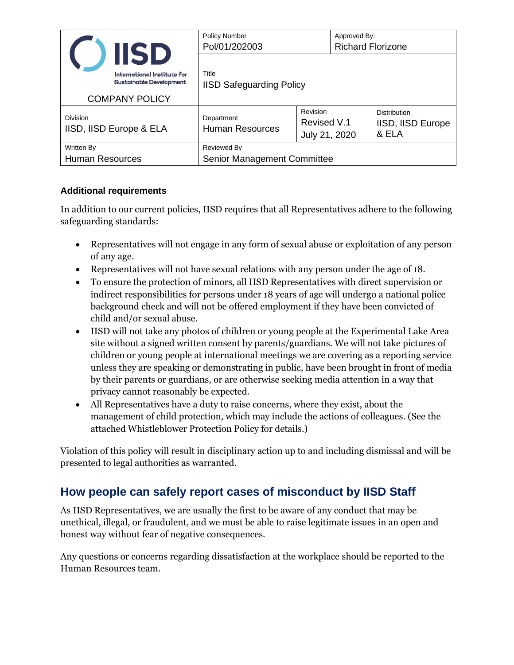|                                     | <b>IISD</b>                                                   | <b>Policy Number</b><br>Pol/01/202003    | Approved By:<br><b>Richard Florizone</b> |  |                                                   |  |
|-------------------------------------|---------------------------------------------------------------|------------------------------------------|------------------------------------------|--|---------------------------------------------------|--|
|                                     | International Institute for<br><b>Sustainable Development</b> | Title<br><b>IISD Safeguarding Policy</b> |                                          |  |                                                   |  |
| <b>COMPANY POLICY</b>               |                                                               |                                          |                                          |  |                                                   |  |
| Division<br>IISD, IISD Europe & ELA |                                                               | Department<br><b>Human Resources</b>     | Revision<br>Revised V.1<br>July 21, 2020 |  | <b>Distribution</b><br>IISD, IISD Europe<br>& ELA |  |
| Written By                          |                                                               | Reviewed By                              |                                          |  |                                                   |  |
| <b>Human Resources</b>              |                                                               | Senior Management Committee              |                                          |  |                                                   |  |

#### **Additional requirements**

In addition to our current policies, IISD requires that all Representatives adhere to the following safeguarding standards:

- Representatives will not engage in any form of sexual abuse or exploitation of any person of any age.
- Representatives will not have sexual relations with any person under the age of 18.
- To ensure the protection of minors, all IISD Representatives with direct supervision or indirect responsibilities for persons under 18 years of age will undergo a national police background check and will not be offered employment if they have been convicted of child and/or sexual abuse.
- IISD will not take any photos of children or young people at the Experimental Lake Area site without a signed written consent by parents/guardians. We will not take pictures of children or young people at international meetings we are covering as a reporting service unless they are speaking or demonstrating in public, have been brought in front of media by their parents or guardians, or are otherwise seeking media attention in a way that privacy cannot reasonably be expected.
- All Representatives have a duty to raise concerns, where they exist, about the management of child protection, which may include the actions of colleagues. (See the attached Whistleblower Protection Policy for details.)

Violation of this policy will result in disciplinary action up to and including dismissal and will be presented to legal authorities as warranted.

## **How people can safely report cases of misconduct by IISD Staff**

As IISD Representatives, we are usually the first to be aware of any conduct that may be unethical, illegal, or fraudulent, and we must be able to raise legitimate issues in an open and honest way without fear of negative consequences.

Any questions or concerns regarding dissatisfaction at the workplace should be reported to the Human Resources team.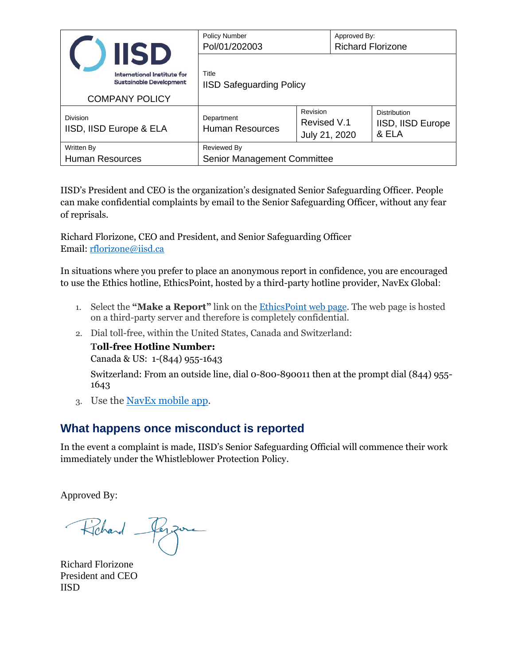|                                             | <b>IISD</b>                                                                                   | <b>Policy Number</b><br>Pol/01/202003      |                                                                          | Approved By:<br><b>Richard Florizone</b> |                   |  |
|---------------------------------------------|-----------------------------------------------------------------------------------------------|--------------------------------------------|--------------------------------------------------------------------------|------------------------------------------|-------------------|--|
|                                             | <b>International Institute for</b><br><b>Sustainable Development</b><br><b>COMPANY POLICY</b> | Title<br><b>IISD Safeguarding Policy</b>   |                                                                          |                                          |                   |  |
| Division<br>IISD, IISD Europe & ELA         |                                                                                               | Department<br><b>Human Resources</b>       | Revision<br><b>Distribution</b><br>Revised V.1<br>& ELA<br>July 21, 2020 |                                          | IISD, IISD Europe |  |
| <b>Written By</b><br><b>Human Resources</b> |                                                                                               | Reviewed By<br>Senior Management Committee |                                                                          |                                          |                   |  |

IISD's President and CEO is the organization's designated Senior Safeguarding Officer. People can make confidential complaints by email to the Senior Safeguarding Officer, without any fear of reprisals.

Richard Florizone, CEO and President, and Senior Safeguarding Officer Email: [rflorizone@iisd.ca](mailto:rflorizone@iisd.ca)

In situations where you prefer to place an anonymous report in confidence, you are encouraged to use the Ethics hotline, EthicsPoint, hosted by a third-party hotline provider, NavEx Global:

- 1. Select the **"Make a Report"** link on the [EthicsPoint](http://iisd.ethicspoint.com/) web page. The web page is hosted on a third-party server and therefore is completely confidential.
- 2. Dial toll-free, within the United States, Canada and Switzerland:

**Toll-free Hotline Number:** 

Canada & US: 1-(844) 955-1643

Switzerland: From an outside line, dial 0-800-890011 then at the prompt dial (844) 955- 1643

3. Use the [NavEx mobile app.](http://iisdmobile.ethicspoint.com/)

### **What happens once misconduct is reported**

In the event a complaint is made, IISD's Senior Safeguarding Official will commence their work immediately under the Whistleblower Protection Policy.

Approved By:

Richard Perzue

Richard Florizone President and CEO IISD